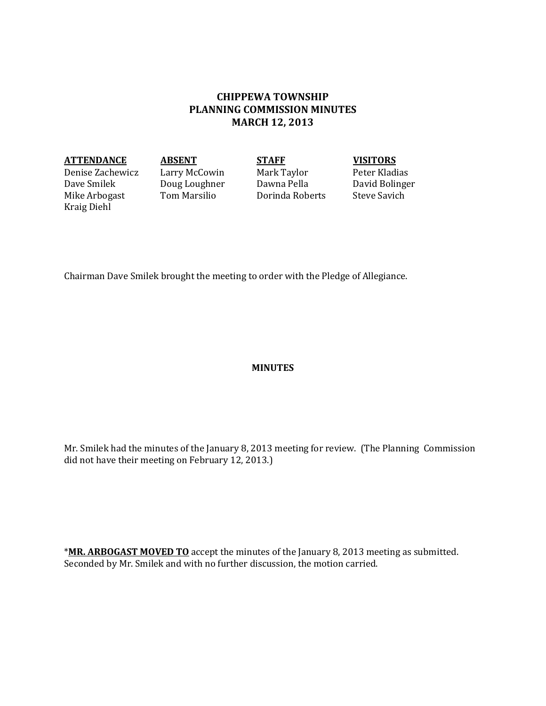# **CHIPPEWA TOWNSHIP PLANNING COMMISSION MINUTES MARCH 12, 2013**

### **ATTENDANCE ABSENT STAFF VISITORS**

Denise Zachewicz Larry McCowin Mark Taylor Peter Kladias Mike Arbogast Kraig Diehl

Doug Loughner Dawna Pella David Boling<br>Tom Marsilio Dorinda Roberts Steve Savich

Chairman Dave Smilek brought the meeting to order with the Pledge of Allegiance.

## **MINUTES**

Mr. Smilek had the minutes of the January 8, 2013 meeting for review. (The Planning Commission did not have their meeting on February 12, 2013.)

\***MR. ARBOGAST MOVED TO** accept the minutes of the January 8, 2013 meeting as submitted. Seconded by Mr. Smilek and with no further discussion, the motion carried.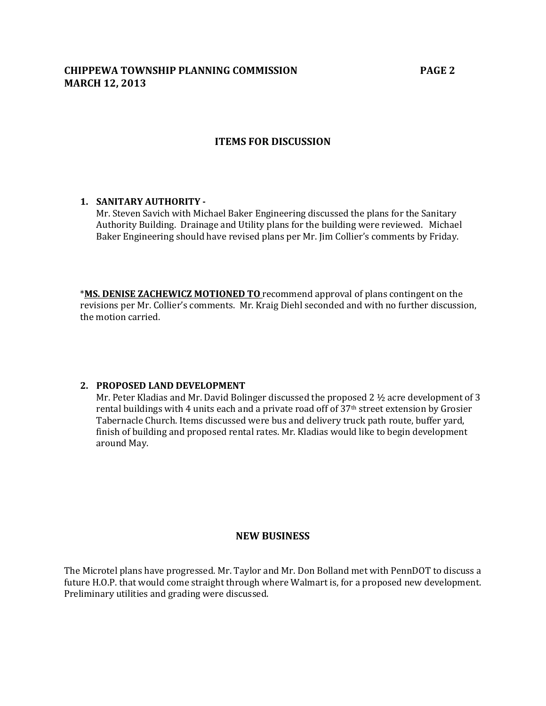# **CHIPPEWA TOWNSHIP PLANNING COMMISSION PAGE 2 MARCH 12, 2013**

## **ITEMS FOR DISCUSSION**

## **1. SANITARY AUTHORITY -**

Mr. Steven Savich with Michael Baker Engineering discussed the plans for the Sanitary Authority Building. Drainage and Utility plans for the building were reviewed. Michael Baker Engineering should have revised plans per Mr. Jim Collier's comments by Friday.

\***MS. DENISE ZACHEWICZ MOTIONED TO** recommend approval of plans contingent on the revisions per Mr. Collier's comments. Mr. Kraig Diehl seconded and with no further discussion, the motion carried.

#### **2. PROPOSED LAND DEVELOPMENT**

Mr. Peter Kladias and Mr. David Bolinger discussed the proposed 2 ½ acre development of 3 rental buildings with 4 units each and a private road off of 37<sup>th</sup> street extension by Grosier Tabernacle Church. Items discussed were bus and delivery truck path route, buffer yard, finish of building and proposed rental rates. Mr. Kladias would like to begin development around May.

## **NEW BUSINESS**

The Microtel plans have progressed. Mr. Taylor and Mr. Don Bolland met with PennDOT to discuss a future H.O.P. that would come straight through where Walmart is, for a proposed new development. Preliminary utilities and grading were discussed.